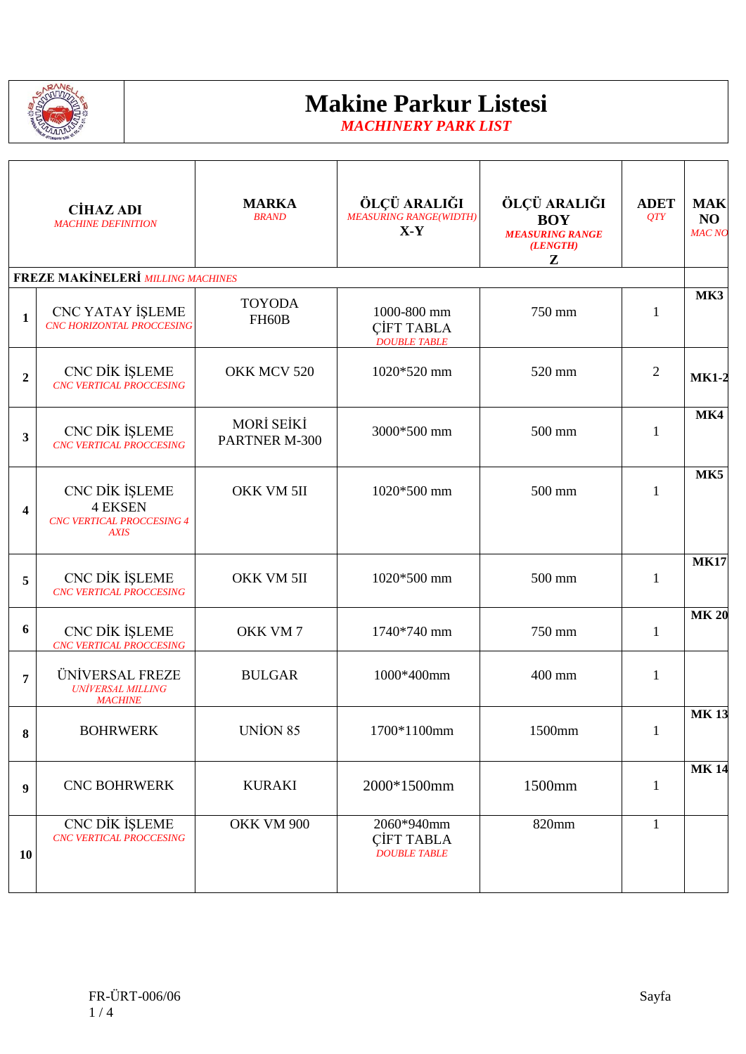

|                | <b>CİHAZ ADI</b><br><b>MACHINE DEFINITION</b>                                | <b>MARKA</b><br><b>BRAND</b> | ÖLÇÜ ARALIĞI<br><b>MEASURING RANGE(WIDTH)</b><br>$X-Y$  | ÖLÇÜ ARALIĞI<br><b>BOY</b><br><b>MEASURING RANGE</b><br>(LENGTH)<br>${\bf z}$ | <b>ADET</b><br>QTY | <b>MAK</b><br>NO<br>MAC <sub>NO</sub> |
|----------------|------------------------------------------------------------------------------|------------------------------|---------------------------------------------------------|-------------------------------------------------------------------------------|--------------------|---------------------------------------|
|                | <b>FREZE MAKİNELERİ MILLING MACHINES</b>                                     |                              |                                                         |                                                                               |                    |                                       |
| 1              | CNC YATAY İŞLEME<br>CNC HORIZONTAL PROCCESING                                | <b>TOYODA</b><br>FH60B       | 1000-800 mm<br><b>ÇİFT TABLA</b><br><b>DOUBLE TABLE</b> | 750 mm                                                                        | 1                  | MK3                                   |
| $\overline{2}$ | CNC DİK İŞLEME<br><b>CNC VERTICAL PROCCESING</b>                             | OKK MCV 520                  | 1020*520 mm                                             | 520 mm                                                                        | $\overline{2}$     | <b>MK1-2</b>                          |
| 3              | CNC DİK İŞLEME<br><b>CNC VERTICAL PROCCESING</b>                             | MORİ SEİKİ<br>PARTNER M-300  | 3000*500 mm                                             | 500 mm                                                                        | $\mathbf{1}$       | MK4                                   |
| 4              | CNC DİK İŞLEME<br><b>4 EKSEN</b><br><b>CNC VERTICAL PROCCESING 4</b><br>AXIS | OKK VM 5II                   | 1020*500 mm                                             | 500 mm                                                                        | $\mathbf{1}$       | MK5                                   |
| 5              | CNC DİK İŞLEME<br><b>CNC VERTICAL PROCCESING</b>                             | OKK VM 5II                   | 1020*500 mm                                             | 500 mm                                                                        | 1                  | <b>MK17</b>                           |
| 6              | CNC DİK İŞLEME<br><b>CNC VERTICAL PROCCESING</b>                             | OKK VM7                      | 1740*740 mm                                             | 750 mm                                                                        | 1                  | <b>MK 20</b>                          |
| 7              | ÜNİVERSAL FREZE<br><b>UNİVERSAL MILLING</b><br><b>MACHINE</b>                | <b>BULGAR</b>                | 1000*400mm                                              | 400 mm                                                                        | 1                  |                                       |
| 8              | <b>BOHRWERK</b>                                                              | UNION 85                     | 1700*1100mm                                             | 1500mm                                                                        | 1                  | <b>MK13</b>                           |
| 9              | <b>CNC BOHRWERK</b>                                                          | <b>KURAKI</b>                | 2000*1500mm                                             | 1500mm                                                                        | $\mathbf{1}$       | <b>MK14</b>                           |
| <b>10</b>      | CNC DİK İŞLEME<br>CNC VERTICAL PROCCESING                                    | OKK VM 900                   | 2060*940mm<br><b>CIFT TABLA</b><br><b>DOUBLE TABLE</b>  | 820mm                                                                         | $\mathbf{1}$       |                                       |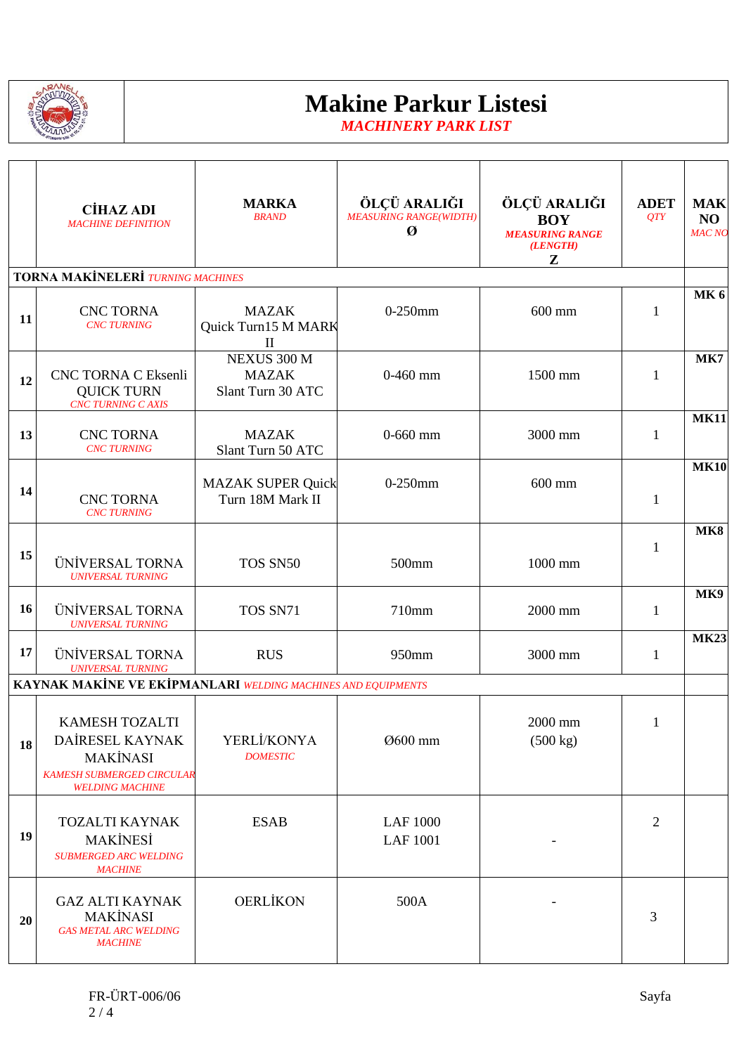

|           | <b>CİHAZ ADI</b><br><b>MACHINE DEFINITION</b>                                                                      | <b>MARKA</b><br><b>BRAND</b>                        | ÖLÇÜ ARALIĞI<br><b>MEASURING RANGE(WIDTH)</b><br>$\boldsymbol{\emptyset}$ | ÖLÇÜ ARALIĞI<br><b>BOY</b><br><b>MEASURING RANGE</b><br>(LENGTH)<br>Z | <b>ADET</b><br>OTY | <b>MAK</b><br>NO<br><b>MAC NO</b> |
|-----------|--------------------------------------------------------------------------------------------------------------------|-----------------------------------------------------|---------------------------------------------------------------------------|-----------------------------------------------------------------------|--------------------|-----------------------------------|
|           | TORNA MAKİNELERİ TURNING MACHINES                                                                                  |                                                     |                                                                           |                                                                       |                    |                                   |
| 11        | <b>CNC TORNA</b><br><b>CNC TURNING</b>                                                                             | <b>MAZAK</b><br>Quick Turn15 M MARK<br>$\mathbf{I}$ | $0-250$ mm                                                                | 600 mm                                                                | 1                  | <b>MK6</b>                        |
| 12        | CNC TORNA C Eksenli<br><b>QUICK TURN</b><br><b>CNC TURNING C AXIS</b>                                              | NEXUS 300 M<br><b>MAZAK</b><br>Slant Turn 30 ATC    | $0-460$ mm                                                                | 1500 mm                                                               | 1                  | MK7                               |
| 13        | <b>CNC TORNA</b><br><b>CNC TURNING</b>                                                                             | <b>MAZAK</b><br>Slant Turn 50 ATC                   | $0 - 660$ mm                                                              | 3000 mm                                                               | 1                  | <b>MK11</b>                       |
| 14        | <b>CNC TORNA</b><br><b>CNC TURNING</b>                                                                             | <b>MAZAK SUPER Quick</b><br>Turn 18M Mark II        | $0-250$ mm                                                                | 600 mm                                                                | $\mathbf{1}$       | <b>MK10</b>                       |
| 15        | ÜNİVERSAL TORNA<br><b>UNIVERSAL TURNING</b>                                                                        | TOS SN50                                            | 500mm                                                                     | 1000 mm                                                               | 1                  | <b>MK8</b>                        |
| 16        | ÜNİVERSAL TORNA<br><b>UNIVERSAL TURNING</b>                                                                        | TOS SN71                                            | 710mm                                                                     | 2000 mm                                                               | 1                  | <b>MK9</b>                        |
| 17        | ÜNİVERSAL TORNA<br><b>UNIVERSAL TURNING</b>                                                                        | <b>RUS</b>                                          | 950mm                                                                     | 3000 mm                                                               | $\mathbf{1}$       | <b>MK23</b>                       |
|           | <b>KAYNAK MAKİNE VE EKİPMANLARI WELDING MACHINES AND EQUIPMENTS</b>                                                |                                                     |                                                                           |                                                                       |                    |                                   |
| 18        | KAMESH TOZALTI<br>DAİRESEL KAYNAK<br><b>MAKİNASI</b><br><b>KAMESH SUBMERGED CIRCULAR</b><br><b>WELDING MACHINE</b> | YERLİ/KONYA<br><b>DOMESTIC</b>                      | Ø600 mm                                                                   | 2000 mm<br>$(500 \text{ kg})$                                         | $\mathbf{1}$       |                                   |
| 19        | <b>TOZALTI KAYNAK</b><br><b>MAKİNESİ</b><br><b>SUBMERGED ARC WELDING</b><br><b>MACHINE</b>                         | <b>ESAB</b>                                         | <b>LAF 1000</b><br><b>LAF 1001</b>                                        |                                                                       | $\overline{2}$     |                                   |
| <b>20</b> | <b>GAZ ALTI KAYNAK</b><br><b>MAKİNASI</b><br><b>GAS METAL ARC WELDING</b><br><b>MACHINE</b>                        | <b>OERLİKON</b>                                     | 500A                                                                      |                                                                       | 3                  |                                   |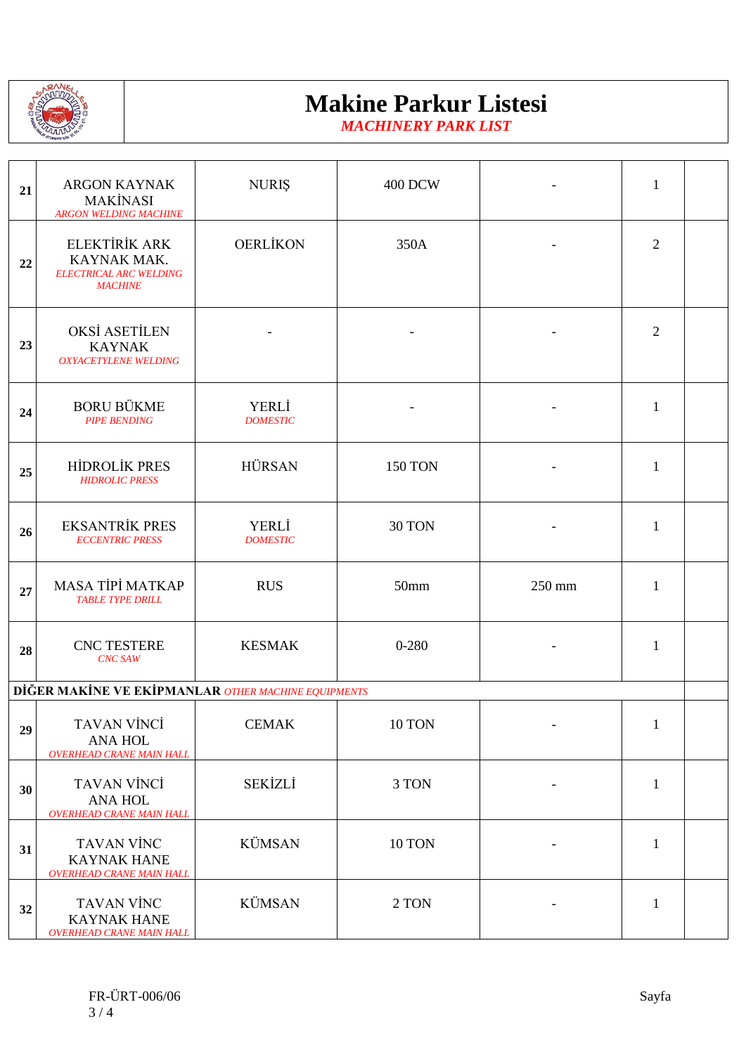

| 21 | <b>ARGON KAYNAK</b><br><b>MAKİNASI</b><br><b>ARGON WELDING MACHINE</b>                 | <b>NURIȘ</b>                    | <b>400 DCW</b>   | $\overline{\phantom{a}}$ | 1              |  |
|----|----------------------------------------------------------------------------------------|---------------------------------|------------------|--------------------------|----------------|--|
| 22 | <b>ELEKTİRİK ARK</b><br>KAYNAK MAK.<br><b>ELECTRICAL ARC WELDING</b><br><b>MACHINE</b> | <b>OERLİKON</b>                 | 350A             |                          | $\overline{2}$ |  |
| 23 | <b>OKSİ ASETİLEN</b><br><b>KAYNAK</b><br><b>OXYACETYLENE WELDING</b>                   |                                 |                  |                          | $\overline{2}$ |  |
| 24 | <b>BORU BÜKME</b><br><b>PIPE BENDING</b>                                               | <b>YERLİ</b><br><b>DOMESTIC</b> |                  |                          | $\mathbf{1}$   |  |
| 25 | <b>HİDROLİK PRES</b><br><b>HIDROLIC PRESS</b>                                          | HÜRSAN                          | <b>150 TON</b>   |                          | $\mathbf{1}$   |  |
| 26 | <b>EKSANTRİK PRES</b><br><b>ECCENTRIC PRESS</b>                                        | <b>YERLİ</b><br><b>DOMESTIC</b> | 30 TON           |                          | $\mathbf{1}$   |  |
| 27 | <b>MASA TİPİ MATKAP</b><br><b>TABLE TYPE DRILL</b>                                     | <b>RUS</b>                      | 50 <sub>mm</sub> | 250 mm                   | 1              |  |
| 28 | <b>CNC TESTERE</b><br><b>CNC SAW</b>                                                   | <b>KESMAK</b>                   | $0 - 280$        |                          | $\mathbf{1}$   |  |
|    | DİĞER MAKİNE VE EKİPMANLAR OTHER MACHINE EQUIPMENTS                                    |                                 |                  |                          |                |  |
| 29 | <b>TAVAN VİNCİ</b><br><b>ANA HOL</b><br><b>OVERHEAD CRANE MAIN HALL</b>                | <b>CEMAK</b>                    | 10 TON           |                          | 1              |  |
| 30 | <b>TAVAN VİNCİ</b><br><b>ANA HOL</b><br><b>OVERHEAD CRANE MAIN HALL</b>                | SEKİZLİ                         | 3 TON            |                          | $\mathbf{1}$   |  |
| 31 | <b>TAVAN VİNC</b><br><b>KAYNAK HANE</b><br><b>OVERHEAD CRANE MAIN HALL</b>             | <b>KÜMSAN</b>                   | 10 TON           |                          | $\mathbf{1}$   |  |
| 32 | <b>TAVAN VİNC</b><br><b>KAYNAK HANE</b><br><b>OVERHEAD CRANE MAIN HALL</b>             | <b>KÜMSAN</b>                   | 2 TON            |                          | $\mathbf{1}$   |  |